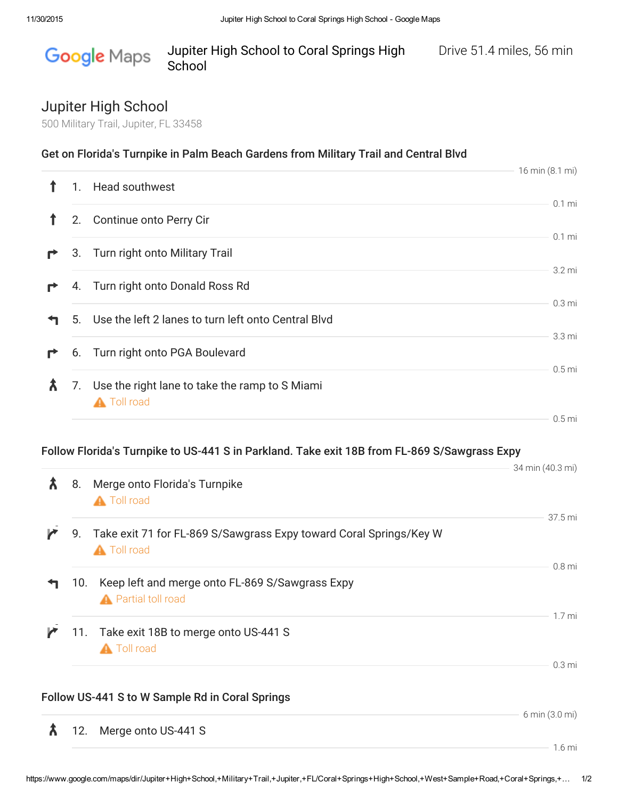## Google Maps Jupiter High School to Coral Springs High Drive 51.4 miles, 56 min School

## Jupiter High School

500 Military Trail, Jupiter, FL 33458

|  |  | Get on Florida's Turnpike in Palm Beach Gardens from Military Trail and Central Blvd |
|--|--|--------------------------------------------------------------------------------------|
|  |  |                                                                                      |

|   |    |                                                                      | 16 min (8.1 mi)    |
|---|----|----------------------------------------------------------------------|--------------------|
|   | 1. | Head southwest                                                       |                    |
|   | 2. | Continue onto Perry Cir                                              | $0.1$ mi           |
|   |    |                                                                      | $0.1$ mi           |
|   |    | 3. Turn right onto Military Trail                                    | 3.2 mi             |
| r |    | 4. Turn right onto Donald Ross Rd                                    |                    |
|   |    | 5. Use the left 2 lanes to turn left onto Central Blvd               | 0.3 <sub>mi</sub>  |
| r |    | 6. Turn right onto PGA Boulevard                                     | 3.3 mi<br>$0.5$ mi |
|   | 7. | Use the right lane to take the ramp to S Miami<br><b>A</b> Toll road |                    |
|   |    |                                                                      | 0.5 <sub>mi</sub>  |

## Follow Florida's Turnpike to US-441 S in Parkland. Take exit 18B from FL-869 S/Sawgrass Expy

| λ | 8.  | Merge onto Florida's Turnpike                                                                       | 34 min (40.3 mi)  |
|---|-----|-----------------------------------------------------------------------------------------------------|-------------------|
|   |     | <b>A</b> Toll road<br>9. Take exit 71 for FL-869 S/Sawgrass Expy toward Coral Springs/Key W         | 37.5 mi           |
|   | 10. | <b>A</b> Toll road<br>Keep left and merge onto FL-869 S/Sawgrass Expy<br><b>A</b> Partial toll road | 0.8 <sub>mi</sub> |
|   |     | 11. Take exit 18B to merge onto US-441 S<br><b>A</b> Toll road                                      | 1.7 <sub>mi</sub> |
|   |     | Follow US-441 S to W Sample Rd in Coral Springs                                                     | 0.3 <sub>mi</sub> |
| Ѫ | 12. | Merge onto US-441 S                                                                                 | 6 min (3.0 mi)    |

 $-1.6$  mi

 $34 \div (40.3 \cdot \mu)$